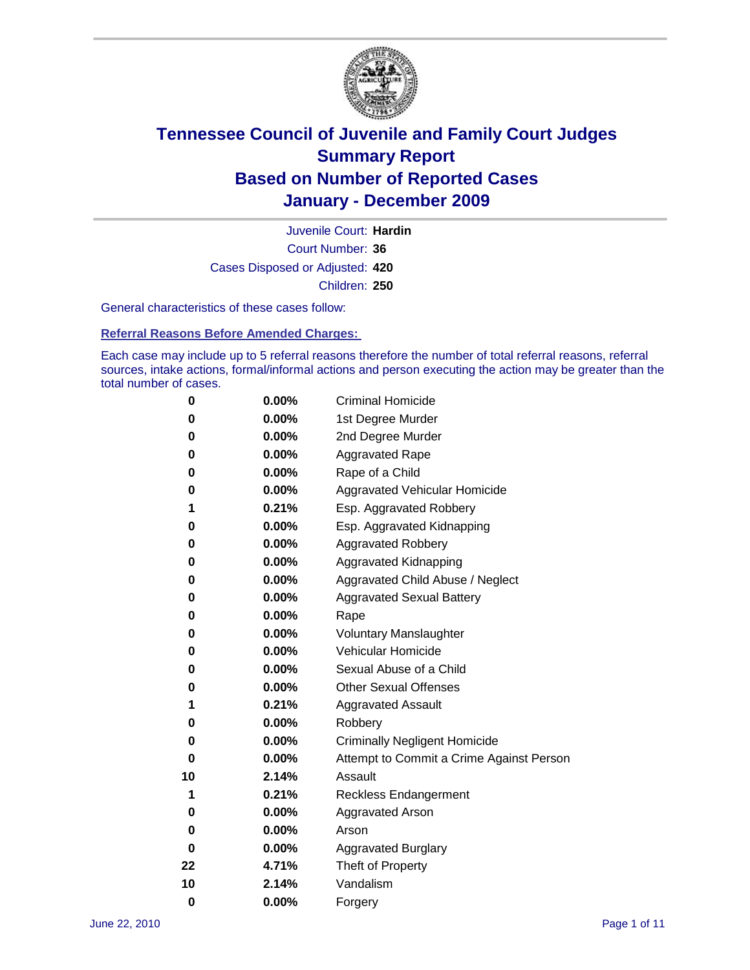

Court Number: **36** Juvenile Court: **Hardin** Cases Disposed or Adjusted: **420** Children: **250**

General characteristics of these cases follow:

**Referral Reasons Before Amended Charges:** 

Each case may include up to 5 referral reasons therefore the number of total referral reasons, referral sources, intake actions, formal/informal actions and person executing the action may be greater than the total number of cases.

| 0  | 0.00% | <b>Criminal Homicide</b>                 |
|----|-------|------------------------------------------|
| 0  | 0.00% | 1st Degree Murder                        |
| 0  | 0.00% | 2nd Degree Murder                        |
| 0  | 0.00% | <b>Aggravated Rape</b>                   |
| 0  | 0.00% | Rape of a Child                          |
| 0  | 0.00% | Aggravated Vehicular Homicide            |
| 1  | 0.21% | Esp. Aggravated Robbery                  |
| 0  | 0.00% | Esp. Aggravated Kidnapping               |
| 0  | 0.00% | <b>Aggravated Robbery</b>                |
| 0  | 0.00% | Aggravated Kidnapping                    |
| 0  | 0.00% | Aggravated Child Abuse / Neglect         |
| 0  | 0.00% | <b>Aggravated Sexual Battery</b>         |
| 0  | 0.00% | Rape                                     |
| 0  | 0.00% | <b>Voluntary Manslaughter</b>            |
| 0  | 0.00% | Vehicular Homicide                       |
| 0  | 0.00% | Sexual Abuse of a Child                  |
| 0  | 0.00% | <b>Other Sexual Offenses</b>             |
| 1  | 0.21% | <b>Aggravated Assault</b>                |
| 0  | 0.00% | Robbery                                  |
| 0  | 0.00% | <b>Criminally Negligent Homicide</b>     |
| 0  | 0.00% | Attempt to Commit a Crime Against Person |
| 10 | 2.14% | Assault                                  |
| 1  | 0.21% | <b>Reckless Endangerment</b>             |
| 0  | 0.00% | <b>Aggravated Arson</b>                  |
| 0  | 0.00% | Arson                                    |
| 0  | 0.00% | <b>Aggravated Burglary</b>               |
| 22 | 4.71% | Theft of Property                        |
| 10 | 2.14% | Vandalism                                |
| 0  | 0.00% | Forgery                                  |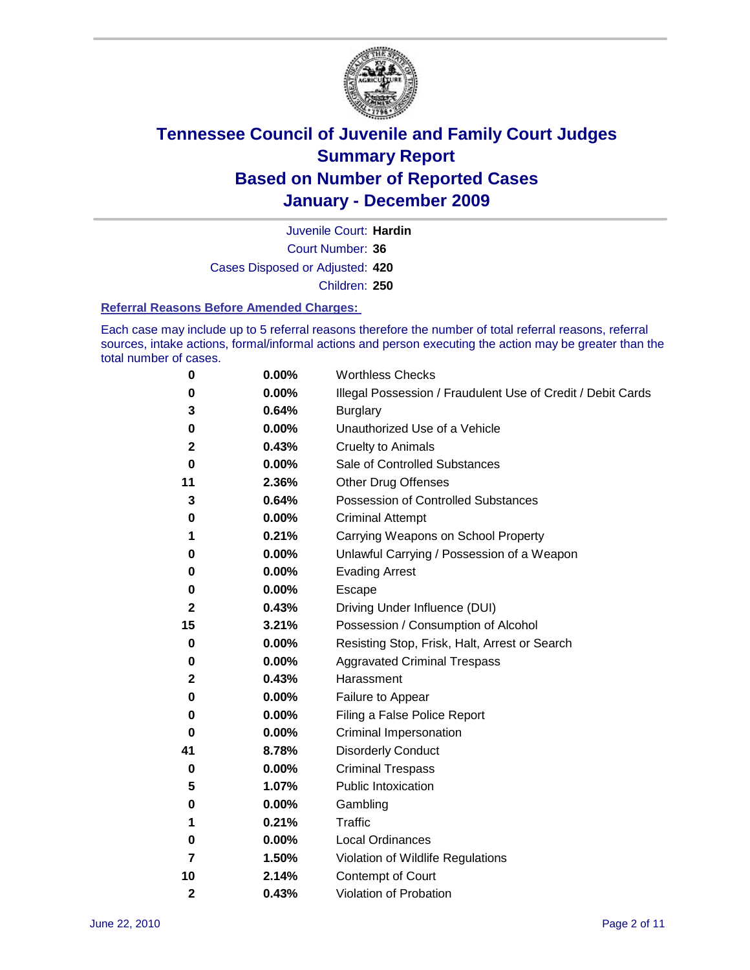

Court Number: **36** Juvenile Court: **Hardin** Cases Disposed or Adjusted: **420** Children: **250**

#### **Referral Reasons Before Amended Charges:**

Each case may include up to 5 referral reasons therefore the number of total referral reasons, referral sources, intake actions, formal/informal actions and person executing the action may be greater than the total number of cases.

| 0              | 0.00% | <b>Worthless Checks</b>                                     |
|----------------|-------|-------------------------------------------------------------|
| 0              | 0.00% | Illegal Possession / Fraudulent Use of Credit / Debit Cards |
| 3              | 0.64% | <b>Burglary</b>                                             |
| 0              | 0.00% | Unauthorized Use of a Vehicle                               |
| 2              | 0.43% | <b>Cruelty to Animals</b>                                   |
| 0              | 0.00% | Sale of Controlled Substances                               |
| 11             | 2.36% | <b>Other Drug Offenses</b>                                  |
| 3              | 0.64% | Possession of Controlled Substances                         |
| 0              | 0.00% | <b>Criminal Attempt</b>                                     |
| 1              | 0.21% | Carrying Weapons on School Property                         |
| 0              | 0.00% | Unlawful Carrying / Possession of a Weapon                  |
| 0              | 0.00% | <b>Evading Arrest</b>                                       |
| 0              | 0.00% | Escape                                                      |
| 2              | 0.43% | Driving Under Influence (DUI)                               |
| 15             | 3.21% | Possession / Consumption of Alcohol                         |
| 0              | 0.00% | Resisting Stop, Frisk, Halt, Arrest or Search               |
| 0              | 0.00% | <b>Aggravated Criminal Trespass</b>                         |
| 2              | 0.43% | Harassment                                                  |
| 0              | 0.00% | Failure to Appear                                           |
| 0              | 0.00% | Filing a False Police Report                                |
| 0              | 0.00% | Criminal Impersonation                                      |
| 41             | 8.78% | <b>Disorderly Conduct</b>                                   |
| 0              | 0.00% | <b>Criminal Trespass</b>                                    |
| 5              | 1.07% | Public Intoxication                                         |
| 0              | 0.00% | Gambling                                                    |
| 1              | 0.21% | Traffic                                                     |
| 0              | 0.00% | <b>Local Ordinances</b>                                     |
| $\overline{7}$ | 1.50% | Violation of Wildlife Regulations                           |
| 10             | 2.14% | Contempt of Court                                           |
| 2              | 0.43% | Violation of Probation                                      |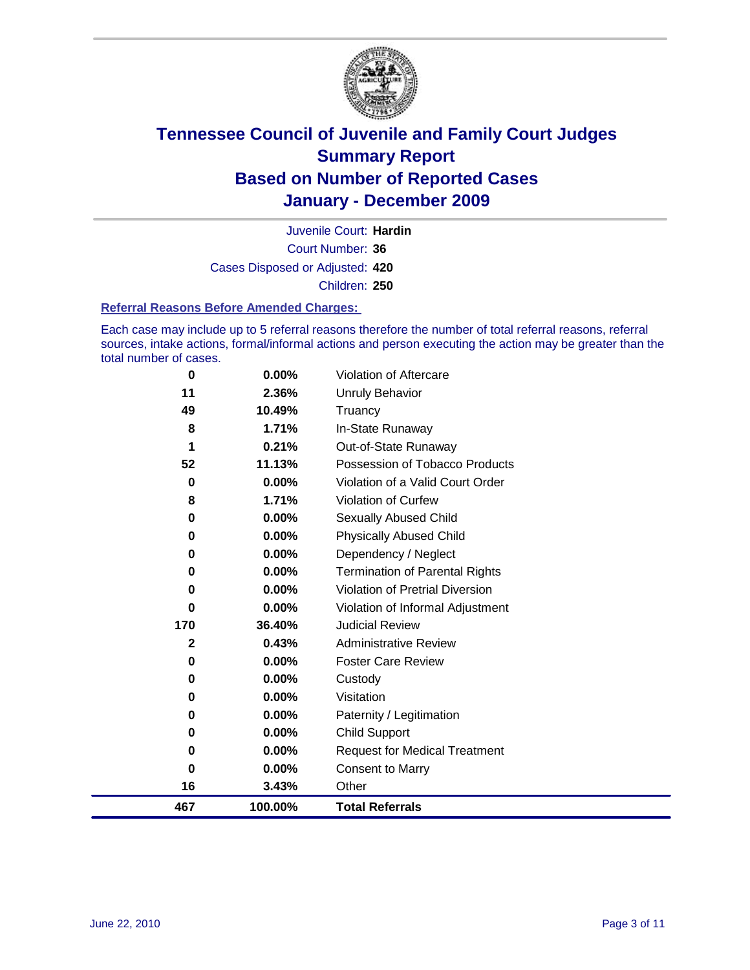

Court Number: **36** Juvenile Court: **Hardin** Cases Disposed or Adjusted: **420** Children: **250**

#### **Referral Reasons Before Amended Charges:**

Each case may include up to 5 referral reasons therefore the number of total referral reasons, referral sources, intake actions, formal/informal actions and person executing the action may be greater than the total number of cases.

| 467      | 100.00%  | <b>Total Referrals</b>                 |
|----------|----------|----------------------------------------|
| 16       | 3.43%    | Other                                  |
| 0        | 0.00%    | <b>Consent to Marry</b>                |
| 0        | 0.00%    | <b>Request for Medical Treatment</b>   |
| 0        | 0.00%    | <b>Child Support</b>                   |
| 0        | 0.00%    | Paternity / Legitimation               |
| 0        | 0.00%    | Visitation                             |
| 0        | 0.00%    | Custody                                |
| 0        | 0.00%    | <b>Foster Care Review</b>              |
| 2        | 0.43%    | <b>Administrative Review</b>           |
| 170      | 36.40%   | <b>Judicial Review</b>                 |
| 0        | 0.00%    | Violation of Informal Adjustment       |
| 0        | 0.00%    | <b>Violation of Pretrial Diversion</b> |
| 0        | 0.00%    | Termination of Parental Rights         |
| 0        | 0.00%    | Dependency / Neglect                   |
| 0        | 0.00%    | <b>Physically Abused Child</b>         |
| 0        | 0.00%    | <b>Sexually Abused Child</b>           |
| 8        | 1.71%    | Violation of Curfew                    |
| $\bf{0}$ | $0.00\%$ | Violation of a Valid Court Order       |
| 52       | 11.13%   | Possession of Tobacco Products         |
| 1        | 0.21%    | Out-of-State Runaway                   |
| 8        | 1.71%    | In-State Runaway                       |
| 49       | 10.49%   | Truancy                                |
| 11       | 2.36%    | <b>Unruly Behavior</b>                 |
| $\bf{0}$ | 0.00%    | Violation of Aftercare                 |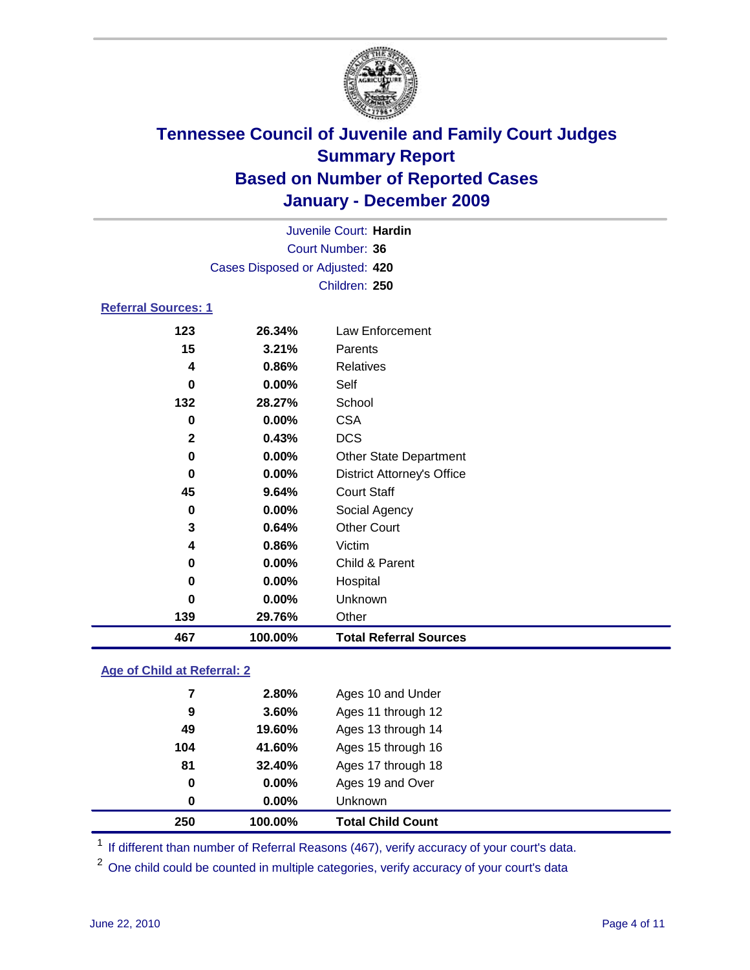

| Juvenile Court: Hardin             |                                 |                                   |  |  |  |
|------------------------------------|---------------------------------|-----------------------------------|--|--|--|
| Court Number: 36                   |                                 |                                   |  |  |  |
|                                    | Cases Disposed or Adjusted: 420 |                                   |  |  |  |
|                                    |                                 | Children: 250                     |  |  |  |
| <b>Referral Sources: 1</b>         |                                 |                                   |  |  |  |
| 123                                | 26.34%                          | <b>Law Enforcement</b>            |  |  |  |
| 15                                 | 3.21%                           | Parents                           |  |  |  |
| 4                                  | 0.86%                           | <b>Relatives</b>                  |  |  |  |
| $\bf{0}$                           | $0.00\%$                        | Self                              |  |  |  |
| 132                                | 28.27%                          | School                            |  |  |  |
| 0                                  | 0.00%                           | <b>CSA</b>                        |  |  |  |
| $\mathbf{2}$                       | 0.43%                           | <b>DCS</b>                        |  |  |  |
| $\mathbf 0$                        | 0.00%                           | <b>Other State Department</b>     |  |  |  |
| 0                                  | 0.00%                           | <b>District Attorney's Office</b> |  |  |  |
| 45                                 | 9.64%                           | <b>Court Staff</b>                |  |  |  |
| 0                                  | 0.00%                           | Social Agency                     |  |  |  |
| 3                                  | 0.64%                           | <b>Other Court</b>                |  |  |  |
| 4                                  | 0.86%                           | Victim                            |  |  |  |
| 0                                  | 0.00%                           | Child & Parent                    |  |  |  |
| 0                                  | 0.00%                           | Hospital                          |  |  |  |
| $\bf{0}$                           | 0.00%                           | Unknown                           |  |  |  |
| 139                                | 29.76%                          | Other                             |  |  |  |
| 467                                | 100.00%                         | <b>Total Referral Sources</b>     |  |  |  |
| <b>Age of Child at Referral: 2</b> |                                 |                                   |  |  |  |

| 0<br>0 | $0.00\%$<br>0.00% | Ages 19 and Over<br>Unknown |                                    |
|--------|-------------------|-----------------------------|------------------------------------|
|        |                   |                             |                                    |
|        |                   |                             |                                    |
|        |                   |                             |                                    |
| 104    | 41.60%            | Ages 15 through 16          |                                    |
| 49     | 19.60%            | Ages 13 through 14          |                                    |
| 9      | 3.60%             | Ages 11 through 12          |                                    |
| 7      | 2.80%             | Ages 10 and Under           |                                    |
|        |                   |                             | 81<br>32.40%<br>Ages 17 through 18 |

<sup>1</sup> If different than number of Referral Reasons (467), verify accuracy of your court's data.

One child could be counted in multiple categories, verify accuracy of your court's data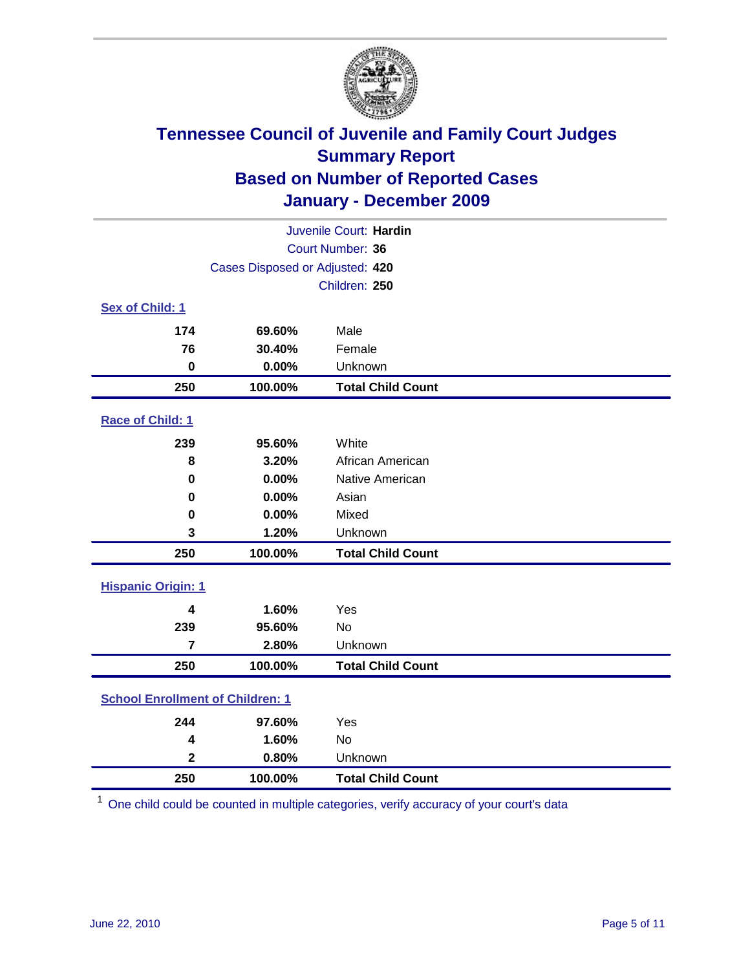

| Juvenile Court: Hardin                  |                                 |                          |  |  |
|-----------------------------------------|---------------------------------|--------------------------|--|--|
| Court Number: 36                        |                                 |                          |  |  |
|                                         | Cases Disposed or Adjusted: 420 |                          |  |  |
|                                         |                                 | Children: 250            |  |  |
| Sex of Child: 1                         |                                 |                          |  |  |
| 174                                     | 69.60%                          | Male                     |  |  |
| 76                                      | 30.40%                          | Female                   |  |  |
| $\mathbf 0$                             | 0.00%                           | Unknown                  |  |  |
| 250                                     | 100.00%                         | <b>Total Child Count</b> |  |  |
| Race of Child: 1                        |                                 |                          |  |  |
| 239                                     | 95.60%                          | White                    |  |  |
| 8                                       | 3.20%                           | African American         |  |  |
| 0                                       | 0.00%                           | Native American          |  |  |
| 0                                       | 0.00%                           | Asian                    |  |  |
| 0                                       | 0.00%                           | Mixed                    |  |  |
| 3                                       | 1.20%                           | Unknown                  |  |  |
| 250                                     | 100.00%                         | <b>Total Child Count</b> |  |  |
| <b>Hispanic Origin: 1</b>               |                                 |                          |  |  |
| 4                                       | 1.60%                           | Yes                      |  |  |
| 239                                     | 95.60%                          | No                       |  |  |
| $\overline{7}$                          | 2.80%                           | Unknown                  |  |  |
| 250                                     | 100.00%                         | <b>Total Child Count</b> |  |  |
| <b>School Enrollment of Children: 1</b> |                                 |                          |  |  |
| 244                                     | 97.60%                          | Yes                      |  |  |
| 4                                       | 1.60%                           | No                       |  |  |
| $\overline{\mathbf{2}}$                 | 0.80%                           | Unknown                  |  |  |
| 250                                     | 100.00%                         | <b>Total Child Count</b> |  |  |

One child could be counted in multiple categories, verify accuracy of your court's data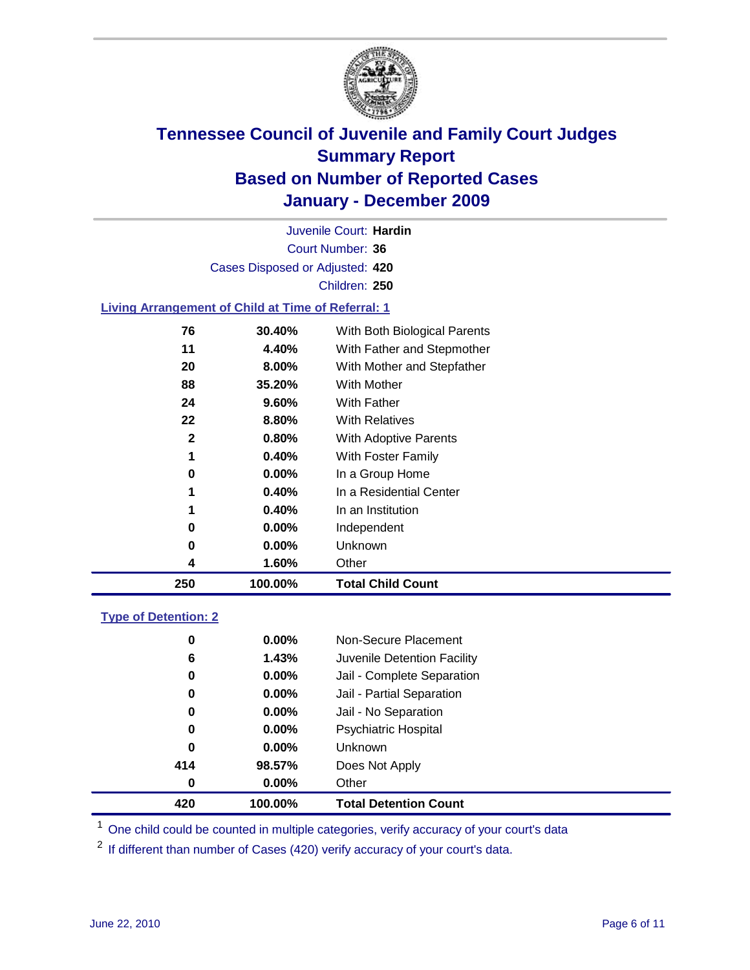

Court Number: **36** Juvenile Court: **Hardin** Cases Disposed or Adjusted: **420** Children: **250**

### **Living Arrangement of Child at Time of Referral: 1**

| 250          | 100.00%  | <b>Total Child Count</b>     |
|--------------|----------|------------------------------|
| 4            | 1.60%    | Other                        |
| 0            | $0.00\%$ | Unknown                      |
| 0            | $0.00\%$ | Independent                  |
| 1            | 0.40%    | In an Institution            |
| 1            | 0.40%    | In a Residential Center      |
| 0            | $0.00\%$ | In a Group Home              |
| 1            | 0.40%    | With Foster Family           |
| $\mathbf{2}$ | 0.80%    | With Adoptive Parents        |
| 22           | 8.80%    | <b>With Relatives</b>        |
| 24           | $9.60\%$ | <b>With Father</b>           |
| 88           | 35.20%   | With Mother                  |
| 20           | 8.00%    | With Mother and Stepfather   |
| 11           | 4.40%    | With Father and Stepmother   |
| 76           | 30.40%   | With Both Biological Parents |
|              |          |                              |

#### **Type of Detention: 2**

| 420 | 100.00%  | <b>Total Detention Count</b> |  |
|-----|----------|------------------------------|--|
| 0   | $0.00\%$ | Other                        |  |
| 414 | 98.57%   | Does Not Apply               |  |
| 0   | $0.00\%$ | <b>Unknown</b>               |  |
| 0   | 0.00%    | <b>Psychiatric Hospital</b>  |  |
| 0   | 0.00%    | Jail - No Separation         |  |
| 0   | $0.00\%$ | Jail - Partial Separation    |  |
| 0   | $0.00\%$ | Jail - Complete Separation   |  |
| 6   | 1.43%    | Juvenile Detention Facility  |  |
| 0   | $0.00\%$ | Non-Secure Placement         |  |
|     |          |                              |  |

<sup>1</sup> One child could be counted in multiple categories, verify accuracy of your court's data

<sup>2</sup> If different than number of Cases (420) verify accuracy of your court's data.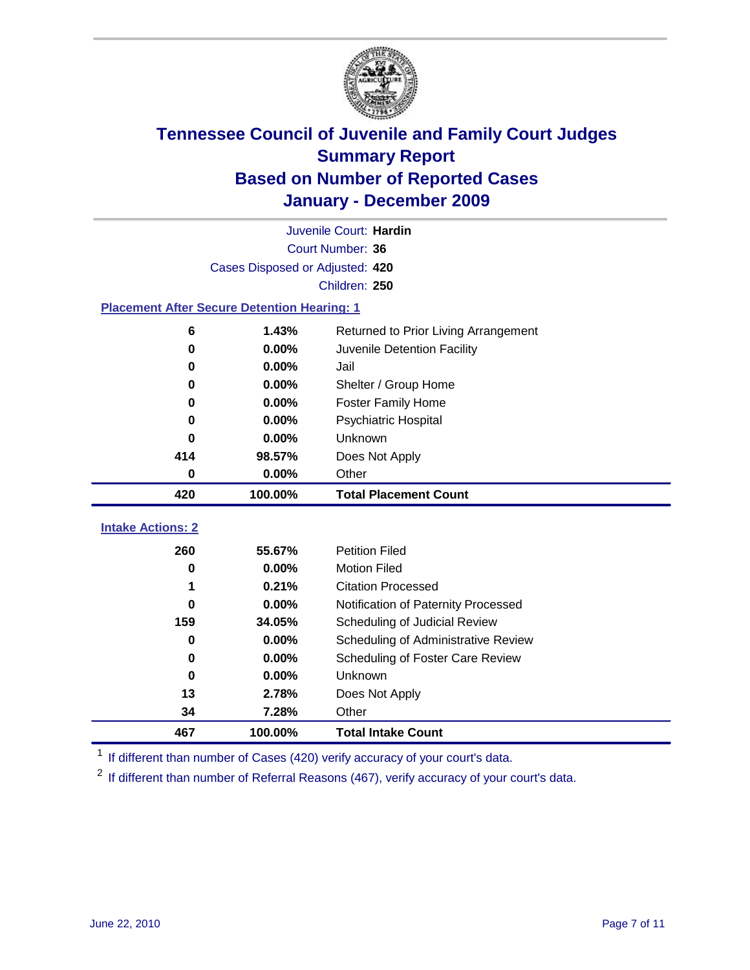

|                                                    | Juvenile Court: Hardin          |                                      |  |  |  |
|----------------------------------------------------|---------------------------------|--------------------------------------|--|--|--|
|                                                    | Court Number: 36                |                                      |  |  |  |
|                                                    | Cases Disposed or Adjusted: 420 |                                      |  |  |  |
|                                                    | Children: 250                   |                                      |  |  |  |
| <b>Placement After Secure Detention Hearing: 1</b> |                                 |                                      |  |  |  |
| 6                                                  | 1.43%                           | Returned to Prior Living Arrangement |  |  |  |
| $\bf{0}$                                           | 0.00%                           | Juvenile Detention Facility          |  |  |  |
| 0                                                  | 0.00%                           | Jail                                 |  |  |  |
| 0                                                  | $0.00\%$                        | Shelter / Group Home                 |  |  |  |
| 0                                                  | 0.00%                           | <b>Foster Family Home</b>            |  |  |  |
| 0                                                  | 0.00%                           | Psychiatric Hospital                 |  |  |  |
| 0                                                  | 0.00%                           | Unknown                              |  |  |  |
| 414                                                | 98.57%                          | Does Not Apply                       |  |  |  |
| $\mathbf 0$                                        | $0.00\%$                        | Other                                |  |  |  |
| 420                                                | 100.00%                         | <b>Total Placement Count</b>         |  |  |  |
| <b>Intake Actions: 2</b>                           |                                 |                                      |  |  |  |
| 260                                                | 55.67%                          | <b>Petition Filed</b>                |  |  |  |
| $\bf{0}$                                           | 0.00%                           | <b>Motion Filed</b>                  |  |  |  |
| 1                                                  | 0.21%                           | <b>Citation Processed</b>            |  |  |  |
|                                                    |                                 |                                      |  |  |  |
| 0                                                  | 0.00%                           | Notification of Paternity Processed  |  |  |  |
| 159                                                | 34.05%                          | Scheduling of Judicial Review        |  |  |  |
| $\bf{0}$                                           | 0.00%                           | Scheduling of Administrative Review  |  |  |  |
| 0                                                  | 0.00%                           | Scheduling of Foster Care Review     |  |  |  |
| $\bf{0}$                                           | 0.00%                           | Unknown                              |  |  |  |
| 13                                                 | 2.78%                           | Does Not Apply                       |  |  |  |
| 34                                                 | 7.28%                           | Other                                |  |  |  |
| 467                                                | 100.00%                         | <b>Total Intake Count</b>            |  |  |  |

<sup>1</sup> If different than number of Cases (420) verify accuracy of your court's data.

<sup>2</sup> If different than number of Referral Reasons (467), verify accuracy of your court's data.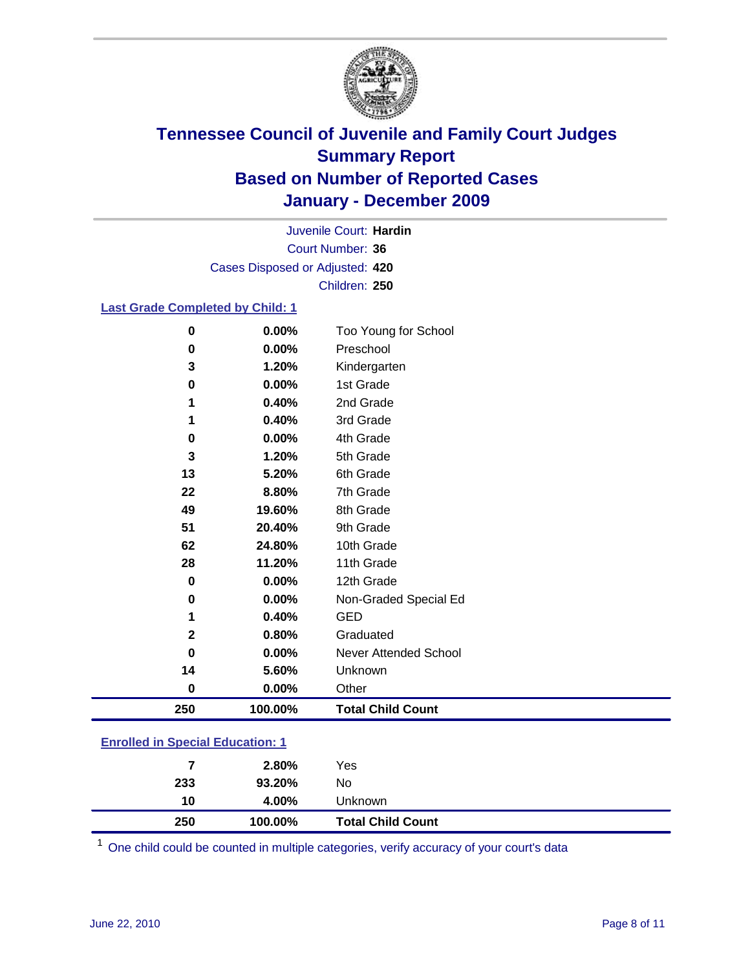

Court Number: **36** Juvenile Court: **Hardin** Cases Disposed or Adjusted: **420** Children: **250**

### **Last Grade Completed by Child: 1**

| 0   | $0.00\%$ | Too Young for School     |
|-----|----------|--------------------------|
| 0   | 0.00%    | Preschool                |
| 3   | 1.20%    | Kindergarten             |
| 0   | 0.00%    | 1st Grade                |
| 1   | 0.40%    | 2nd Grade                |
| 1   | 0.40%    | 3rd Grade                |
| 0   | 0.00%    | 4th Grade                |
| 3   | 1.20%    | 5th Grade                |
| 13  | 5.20%    | 6th Grade                |
| 22  | 8.80%    | 7th Grade                |
| 49  | 19.60%   | 8th Grade                |
| 51  | 20.40%   | 9th Grade                |
| 62  | 24.80%   | 10th Grade               |
| 28  | 11.20%   | 11th Grade               |
| 0   | 0.00%    | 12th Grade               |
| 0   | 0.00%    | Non-Graded Special Ed    |
| 1   | 0.40%    | <b>GED</b>               |
| 2   | 0.80%    | Graduated                |
| 0   | 0.00%    | Never Attended School    |
| 14  | 5.60%    | Unknown                  |
| 0   | $0.00\%$ | Other                    |
| 250 | 100.00%  | <b>Total Child Count</b> |
|     |          |                          |

### **Enrolled in Special Education: 1**

| 250 | 10  | 4.00%<br>100.00% | Unknown<br><b>Total Child Count</b> |
|-----|-----|------------------|-------------------------------------|
|     | 233 | 93.20%           | No                                  |
|     |     | 2.80%            | Yes                                 |

One child could be counted in multiple categories, verify accuracy of your court's data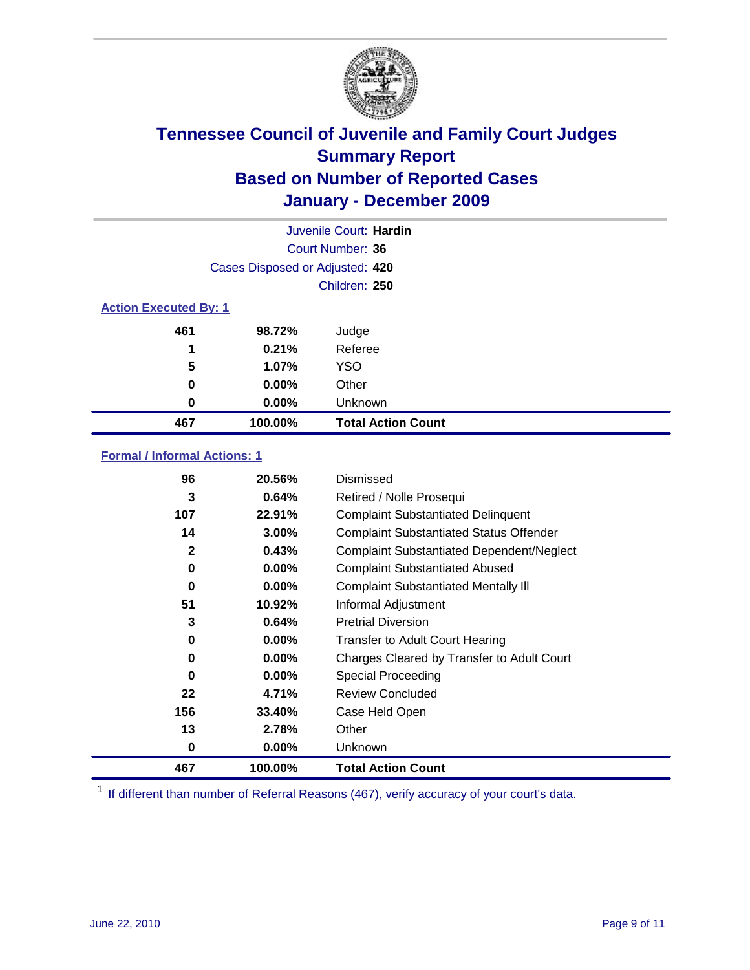

| Juvenile Court: Hardin       |                                 |                           |  |  |
|------------------------------|---------------------------------|---------------------------|--|--|
|                              | Court Number: 36                |                           |  |  |
|                              | Cases Disposed or Adjusted: 420 |                           |  |  |
|                              | Children: 250                   |                           |  |  |
| <b>Action Executed By: 1</b> |                                 |                           |  |  |
| 461                          | 98.72%                          | Judge                     |  |  |
| 1                            | 0.21%                           | Referee                   |  |  |
| 5                            | 1.07%                           | <b>YSO</b>                |  |  |
| 0                            | 0.00%                           | Other                     |  |  |
| 0                            | 0.00%                           | Unknown                   |  |  |
| 467                          | 100.00%                         | <b>Total Action Count</b> |  |  |

### **Formal / Informal Actions: 1**

| 96           | 20.56%   | Dismissed                                        |
|--------------|----------|--------------------------------------------------|
| 3            | 0.64%    | Retired / Nolle Prosequi                         |
| 107          | 22.91%   | <b>Complaint Substantiated Delinquent</b>        |
| 14           | 3.00%    | <b>Complaint Substantiated Status Offender</b>   |
| $\mathbf{2}$ | 0.43%    | <b>Complaint Substantiated Dependent/Neglect</b> |
| 0            | $0.00\%$ | <b>Complaint Substantiated Abused</b>            |
| 0            | $0.00\%$ | <b>Complaint Substantiated Mentally III</b>      |
| 51           | 10.92%   | Informal Adjustment                              |
| 3            | 0.64%    | <b>Pretrial Diversion</b>                        |
| 0            | $0.00\%$ | <b>Transfer to Adult Court Hearing</b>           |
| 0            | $0.00\%$ | Charges Cleared by Transfer to Adult Court       |
| 0            | $0.00\%$ | Special Proceeding                               |
| 22           | 4.71%    | <b>Review Concluded</b>                          |
| 156          | 33.40%   | Case Held Open                                   |
| 13           | 2.78%    | Other                                            |
| 0            | $0.00\%$ | Unknown                                          |
| 467          | 100.00%  | <b>Total Action Count</b>                        |

<sup>1</sup> If different than number of Referral Reasons (467), verify accuracy of your court's data.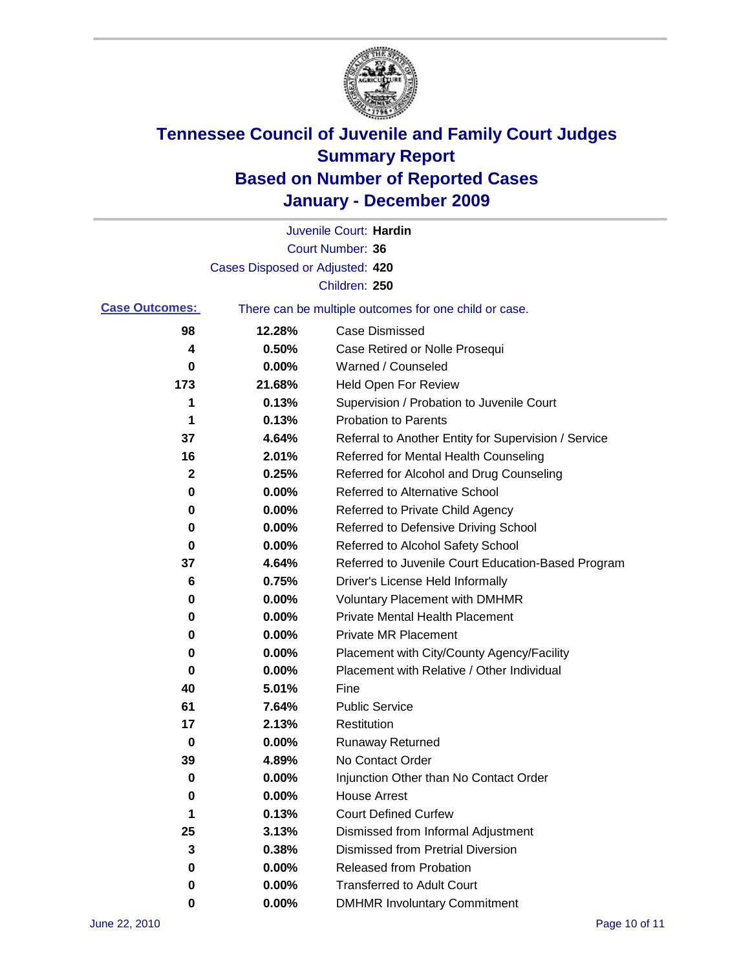

|                       |                                 | Juvenile Court: Hardin                                |
|-----------------------|---------------------------------|-------------------------------------------------------|
|                       |                                 | <b>Court Number: 36</b>                               |
|                       | Cases Disposed or Adjusted: 420 |                                                       |
|                       |                                 | Children: 250                                         |
| <b>Case Outcomes:</b> |                                 | There can be multiple outcomes for one child or case. |
| 98                    | 12.28%                          | <b>Case Dismissed</b>                                 |
| 4                     | 0.50%                           | Case Retired or Nolle Prosequi                        |
| 0                     | 0.00%                           | Warned / Counseled                                    |
| 173                   | 21.68%                          | <b>Held Open For Review</b>                           |
| 1                     | 0.13%                           | Supervision / Probation to Juvenile Court             |
| 1                     | 0.13%                           | <b>Probation to Parents</b>                           |
| 37                    | 4.64%                           | Referral to Another Entity for Supervision / Service  |
| 16                    | 2.01%                           | Referred for Mental Health Counseling                 |
| 2                     | 0.25%                           | Referred for Alcohol and Drug Counseling              |
| 0                     | 0.00%                           | <b>Referred to Alternative School</b>                 |
| 0                     | 0.00%                           | Referred to Private Child Agency                      |
| 0                     | 0.00%                           | Referred to Defensive Driving School                  |
| 0                     | 0.00%                           | Referred to Alcohol Safety School                     |
| 37                    | 4.64%                           | Referred to Juvenile Court Education-Based Program    |
| 6                     | 0.75%                           | Driver's License Held Informally                      |
| 0                     | 0.00%                           | <b>Voluntary Placement with DMHMR</b>                 |
| 0                     | 0.00%                           | <b>Private Mental Health Placement</b>                |
| 0                     | 0.00%                           | <b>Private MR Placement</b>                           |
| 0                     | 0.00%                           | Placement with City/County Agency/Facility            |
| 0                     | 0.00%                           | Placement with Relative / Other Individual            |
| 40                    | 5.01%                           | Fine                                                  |
| 61                    | 7.64%                           | <b>Public Service</b>                                 |
| 17                    | 2.13%                           | Restitution                                           |
| 0                     | 0.00%                           | <b>Runaway Returned</b>                               |
| 39                    | 4.89%                           | No Contact Order                                      |
| 0                     | 0.00%                           | Injunction Other than No Contact Order                |
| 0                     | 0.00%                           | <b>House Arrest</b>                                   |
| 1                     | 0.13%                           | <b>Court Defined Curfew</b>                           |
| 25                    | 3.13%                           | Dismissed from Informal Adjustment                    |
| 3                     | 0.38%                           | <b>Dismissed from Pretrial Diversion</b>              |
| 0                     | 0.00%                           | Released from Probation                               |
| 0                     | 0.00%                           | <b>Transferred to Adult Court</b>                     |
| 0                     | $0.00\%$                        | <b>DMHMR Involuntary Commitment</b>                   |